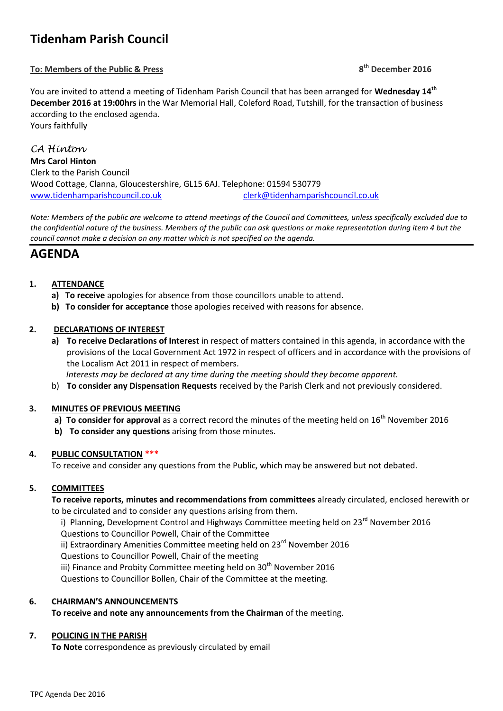# **Tidenham Parish Council**

# **To: Members of the Public & Press 8**

**th December 2016**

You are invited to attend a meeting of Tidenham Parish Council that has been arranged for **Wednesday 14th December 2016 at 19:00hrs** in the War Memorial Hall, Coleford Road, Tutshill, for the transaction of business according to the enclosed agenda. Yours faithfully

*CA Hinton* **Mrs Carol Hinton** Clerk to the Parish Council Wood Cottage, Clanna, Gloucestershire, GL15 6AJ. Telephone: 01594 530779 [www.tidenhamparishcouncil.co.uk](http://www.tidenhamparishcouncil.co.uk/) [clerk@tidenhamparishcouncil.co.uk](mailto:clerk@tidenhamparishcouncil.co.uk)

*Note: Members of the public are welcome to attend meetings of the Council and Committees, unless specifically excluded due to the confidential nature of the business. Members of the public can ask questions or make representation during item 4 but the council cannot make a decision on any matter which is not specified on the agenda.*

# **AGENDA**

# **1. ATTENDANCE**

- **a) To receive** apologies for absence from those councillors unable to attend.
- **b) To consider for acceptance** those apologies received with reasons for absence.

# **2. DECLARATIONS OF INTEREST**

**a) To receive Declarations of Interest** in respect of matters contained in this agenda, in accordance with the provisions of the Local Government Act 1972 in respect of officers and in accordance with the provisions of the Localism Act 2011 in respect of members.

 *Interests may be declared at any time during the meeting should they become apparent.*

b) **To consider any Dispensation Requests** received by the Parish Clerk and not previously considered.

#### **3. MINUTES OF PREVIOUS MEETING**

- **a) To consider for approval** as a correct record the minutes of the meeting held on  $16<sup>th</sup>$  November 2016
- **b) To consider any questions** arising from those minutes.

#### **4. PUBLIC CONSULTATION \*\*\***

To receive and consider any questions from the Public, which may be answered but not debated.

# **5. COMMITTEES**

**To receive reports, minutes and recommendations from committees** already circulated, enclosed herewith or to be circulated and to consider any questions arising from them.

i) Planning, Development Control and Highways Committee meeting held on  $23<sup>rd</sup>$  November 2016

Questions to Councillor Powell, Chair of the Committee

ii) Extraordinary Amenities Committee meeting held on 23<sup>rd</sup> November 2016

Questions to Councillor Powell, Chair of the meeting

iii) Finance and Probity Committee meeting held on  $30<sup>th</sup>$  November 2016

Questions to Councillor Bollen, Chair of the Committee at the meeting.

#### **6. CHAIRMAN'S ANNOUNCEMENTS**

**To receive and note any announcements from the Chairman** of the meeting.

#### **7. POLICING IN THE PARISH**

**To Note** correspondence as previously circulated by email